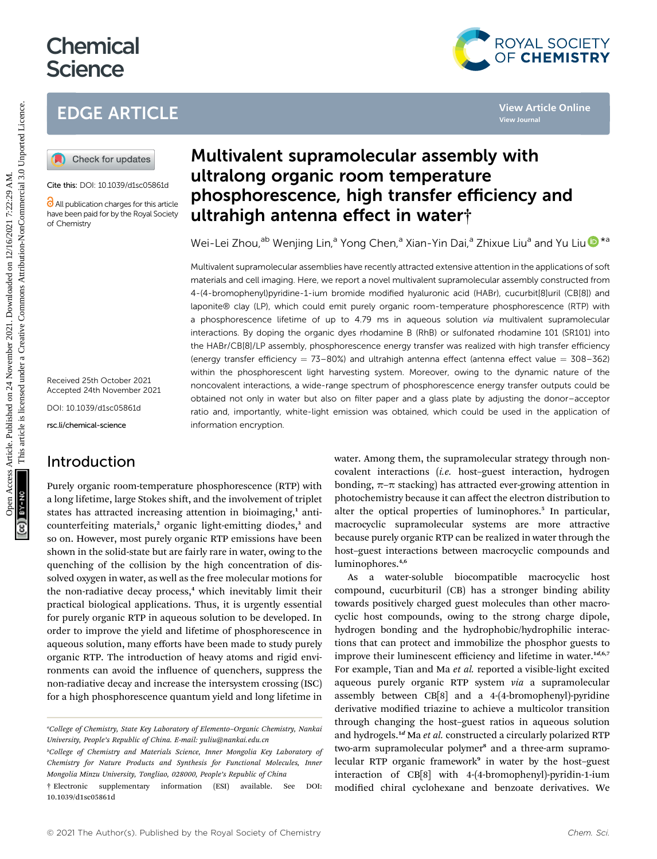# **Chemical Science**

## EDGE ARTICLE



#### Cite this: DOI: 10.1039/d1sc05861d

All publication charges for this article have been paid for by the Royal Society of Chemistry

Received 25th October 2021 Accepted 24th November 2021

DOI: 10.1039/d1sc05861d

rsc.li/chemical-science

### Introduction

Purely organic room-temperature phosphorescence (RTP) with a long lifetime, large Stokes shift, and the involvement of triplet states has attracted increasing attention in bioimaging,<sup>1</sup> anticounterfeiting materials,<sup>2</sup> organic light-emitting diodes,<sup>3</sup> and so on. However, most purely organic RTP emissions have been shown in the solid-state but are fairly rare in water, owing to the quenching of the collision by the high concentration of dissolved oxygen in water, as well as the free molecular motions for the non-radiative decay process,<sup>4</sup> which inevitably limit their practical biological applications. Thus, it is urgently essential for purely organic RTP in aqueous solution to be developed. In order to improve the yield and lifetime of phosphorescence in aqueous solution, many efforts have been made to study purely organic RTP. The introduction of heavy atoms and rigid environments can avoid the influence of quenchers, suppress the non-radiative decay and increase the intersystem crossing (ISC) for a high phosphorescence quantum yield and long lifetime in



Wei-Lei Zho[u](http://orcid.org/0000-0003-0967-0919),<sup>ab</sup> Wenjing Lin,<sup>a</sup> Yong Chen,<sup>a</sup> Xian-Yin Dai,<sup>a</sup> Zhixue Liu<sup>a</sup> and Yu Liu <sup>1</sup>

Multivalent supramolecular assemblies have recently attracted extensive attention in the applications of soft materials and cell imaging. Here, we report a novel multivalent supramolecular assembly constructed from 4-(4-bromophenyl)pyridine-1-ium bromide modified hyaluronic acid (HABr), cucurbit[8]uril (CB[8]) and laponite® clay (LP), which could emit purely organic room-temperature phosphorescence (RTP) with a phosphorescence lifetime of up to 4.79 ms in aqueous solution via multivalent supramolecular interactions. By doping the organic dyes rhodamine B (RhB) or sulfonated rhodamine 101 (SR101) into the HABr/CB[8]/LP assembly, phosphorescence energy transfer was realized with high transfer efficiency (energy transfer efficiency =  $73-80%$ ) and ultrahigh antenna effect (antenna effect value =  $308-362$ ) within the phosphorescent light harvesting system. Moreover, owing to the dynamic nature of the noncovalent interactions, a wide-range spectrum of phosphorescence energy transfer outputs could be obtained not only in water but also on filter paper and a glass plate by adjusting the donor–acceptor ratio and, importantly, white-light emission was obtained, which could be used in the application of information encryption. EDGE ARTICLE<br>
(a) Check for updates<br>
(a) Check for updates<br>
(a) Check for updates<br>
Contex and the **ultralion organic room temperature**<br>
Contex and the **ultralion organic room temperature**<br>
Contex and the **ultralion and th** 

water. Among them, the supramolecular strategy through noncovalent interactions (i.e. host–guest interaction, hydrogen bonding,  $\pi$ – $\pi$  stacking) has attracted ever-growing attention in photochemistry because it can affect the electron distribution to alter the optical properties of luminophores.<sup>5</sup> In particular, macrocyclic supramolecular systems are more attractive because purely organic RTP can be realized in water through the host–guest interactions between macrocyclic compounds and luminophores.4,6

As a water-soluble biocompatible macrocyclic host compound, cucurbituril (CB) has a stronger binding ability towards positively charged guest molecules than other macrocyclic host compounds, owing to the strong charge dipole, hydrogen bonding and the hydrophobic/hydrophilic interactions that can protect and immobilize the phosphor guests to improve their luminescent efficiency and lifetime in water. $1d,6,7$ For example, Tian and Ma et al. reported a visible-light excited aqueous purely organic RTP system via a supramolecular assembly between CB[8] and a 4-(4-bromophenyl)-pyridine derivative modified triazine to achieve a multicolor transition through changing the host–guest ratios in aqueous solution and hydrogels.<sup>1d</sup> Ma et al. constructed a circularly polarized RTP two-arm supramolecular polymer<sup>8</sup> and a three-arm supramolecular RTP organic framework<sup>9</sup> in water by the host-guest interaction of CB[8] with 4-(4-bromophenyl)-pyridin-1-ium modified chiral cyclohexane and benzoate derivatives. We



a College of Chemistry, State Key Laboratory of Elemento–Organic Chemistry, Nankai University, People's Republic of China. E-mail: yuliu@nankai.edu.cn

b College of Chemistry and Materials Science, Inner Mongolia Key Laboratory of Chemistry for Nature Products and Synthesis for Functional Molecules, Inner Mongolia Minzu University, Tongliao, 028000, People's Republic of China

<sup>†</sup> Electronic supplementary information (ESI) available. See DOI: 10.1039/d1sc05861d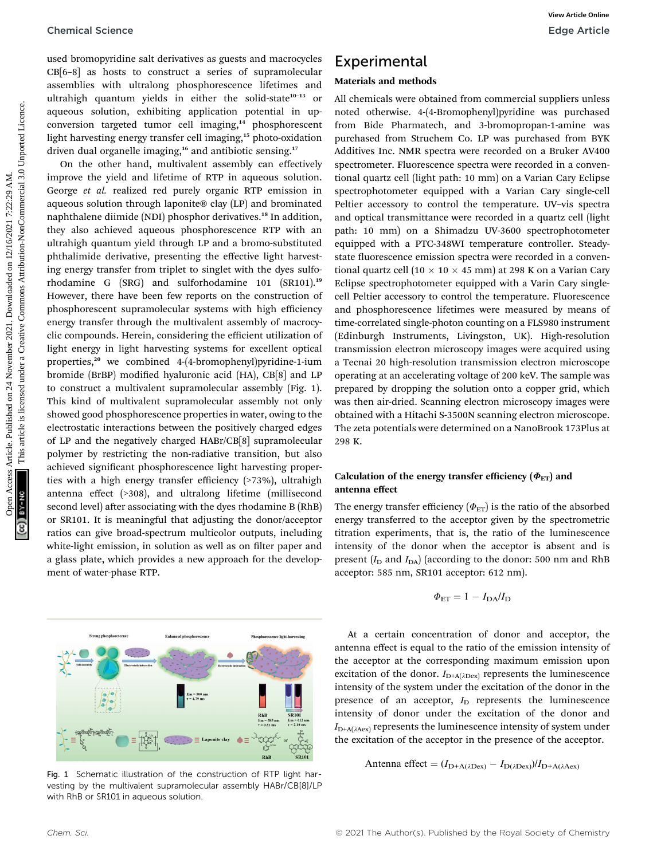used bromopyridine salt derivatives as guests and macrocycles CB[6–8] as hosts to construct a series of supramolecular assemblies with ultralong phosphorescence lifetimes and ultrahigh quantum yields in either the solid-state<sup>10-13</sup> or aqueous solution, exhibiting application potential in upconversion targeted tumor cell imaging,<sup>14</sup> phosphorescent light harvesting energy transfer cell imaging,<sup>15</sup> photo-oxidation driven dual organelle imaging,<sup>16</sup> and antibiotic sensing.<sup>17</sup>

On the other hand, multivalent assembly can effectively improve the yield and lifetime of RTP in aqueous solution. George et al. realized red purely organic RTP emission in aqueous solution through laponite® clay (LP) and brominated naphthalene diimide (NDI) phosphor derivatives.<sup>18</sup> In addition, they also achieved aqueous phosphorescence RTP with an ultrahigh quantum yield through LP and a bromo-substituted phthalimide derivative, presenting the effective light harvesting energy transfer from triplet to singlet with the dyes sulforhodamine G (SRG) and sulforhodamine 101 (SR101).<sup>19</sup> However, there have been few reports on the construction of phosphorescent supramolecular systems with high efficiency energy transfer through the multivalent assembly of macrocyclic compounds. Herein, considering the efficient utilization of light energy in light harvesting systems for excellent optical properties,<sup>20</sup> we combined 4-(4-bromophenyl)pyridine-1-ium bromide (BrBP) modified hyaluronic acid (HA), CB[8] and LP to construct a multivalent supramolecular assembly (Fig. 1). This kind of multivalent supramolecular assembly not only showed good phosphorescence properties in water, owing to the electrostatic interactions between the positively charged edges of LP and the negatively charged HABr/CB[8] supramolecular polymer by restricting the non-radiative transition, but also achieved significant phosphorescence light harvesting properties with a high energy transfer efficiency (>73%), ultrahigh antenna effect (>308), and ultralong lifetime (millisecond second level) after associating with the dyes rhodamine B (RhB) or SR101. It is meaningful that adjusting the donor/acceptor ratios can give broad-spectrum multicolor outputs, including white-light emission, in solution as well as on filter paper and a glass plate, which provides a new approach for the development of water-phase RTP. Chemical Science<br>
One Article and the constant as general materopoles. Experimental<br>
Cifical is used to constant a series are alternative and the model on constant and<br>
during the model on 12/16/2021 and the constant and

Fig. 1 Schematic illustration of the construction of RTP light harvesting by the multivalent supramolecular assembly HABr/CB[8]/LP with RhB or SR101 in aqueous solution.

### Experimental

#### Materials and methods

All chemicals were obtained from commercial suppliers unless noted otherwise. 4-(4-Bromophenyl)pyridine was purchased from Bide Pharmatech, and 3-bromopropan-1-amine was purchased from Struchem Co. LP was purchased from BYK Additives Inc. NMR spectra were recorded on a Bruker AV400 spectrometer. Fluorescence spectra were recorded in a conventional quartz cell (light path: 10 mm) on a Varian Cary Eclipse spectrophotometer equipped with a Varian Cary single-cell Peltier accessory to control the temperature. UV–vis spectra and optical transmittance were recorded in a quartz cell (light path: 10 mm) on a Shimadzu UV-3600 spectrophotometer equipped with a PTC-348WI temperature controller. Steadystate fluorescence emission spectra were recorded in a conventional quartz cell (10  $\times$  10  $\times$  45 mm) at 298 K on a Varian Cary Eclipse spectrophotometer equipped with a Varin Cary singlecell Peltier accessory to control the temperature. Fluorescence and phosphorescence lifetimes were measured by means of time-correlated single-photon counting on a FLS980 instrument (Edinburgh Instruments, Livingston, UK). High-resolution transmission electron microscopy images were acquired using a Tecnai 20 high-resolution transmission electron microscope operating at an accelerating voltage of 200 keV. The sample was prepared by dropping the solution onto a copper grid, which was then air-dried. Scanning electron microscopy images were obtained with a Hitachi S-3500N scanning electron microscope. The zeta potentials were determined on a NanoBrook 173Plus at 298 K.

#### Calculation of the energy transfer efficiency  $(\Phi_{ET})$  and antenna effect

The energy transfer efficiency ( $\Phi_{ET}$ ) is the ratio of the absorbed energy transferred to the acceptor given by the spectrometric titration experiments, that is, the ratio of the luminescence intensity of the donor when the acceptor is absent and is present  $(I_D$  and  $I_{DA}$ ) (according to the donor: 500 nm and RhB acceptor: 585 nm, SR101 acceptor: 612 nm).

$$
\Phi_{ET} = 1 - I_{DA}/I_D
$$

At a certain concentration of donor and acceptor, the antenna effect is equal to the ratio of the emission intensity of the acceptor at the corresponding maximum emission upon excitation of the donor.  $I_{D+A(\lambda Dex)}$  represents the luminescence intensity of the system under the excitation of the donor in the presence of an acceptor,  $I_D$  represents the luminescence intensity of donor under the excitation of the donor and  $I_{\text{D+A}(\lambda \text{Aex})}$  represents the luminescence intensity of system under the excitation of the acceptor in the presence of the acceptor.

Antenna effect = 
$$
(I_{D+A(\lambda Dev)} - I_{D(\lambda Dev)})/I_{D+A(\lambda Aex)}
$$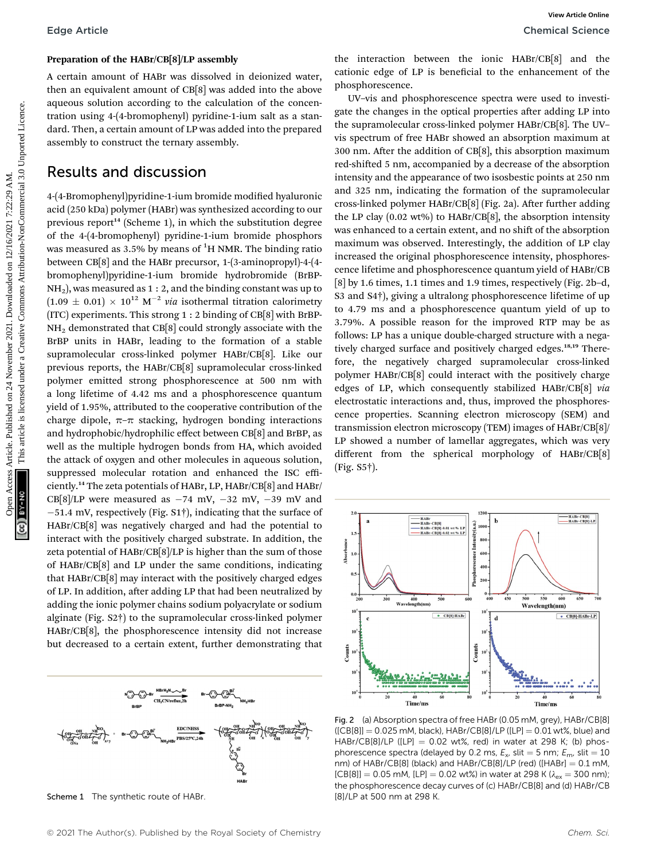### Preparation of the HABr/CB[8]/LP assembly

A certain amount of HABr was dissolved in deionized water, then an equivalent amount of CB[8] was added into the above aqueous solution according to the calculation of the concentration using 4-(4-bromophenyl) pyridine-1-ium salt as a standard. Then, a certain amount of LP was added into the prepared assembly to construct the ternary assembly.

### Results and discussion

4-(4-Bromophenyl)pyridine-1-ium bromide modified hyaluronic acid (250 kDa) polymer (HABr) was synthesized according to our previous report<sup>14</sup> (Scheme 1), in which the substitution degree of the 4-(4-bromophenyl) pyridine-1-ium bromide phosphors was measured as 3.5% by means of  $^1\mathrm{H}$  NMR. The binding ratio between CB[8] and the HABr precursor, 1-(3-aminopropyl)-4-(4 bromophenyl)pyridine-1-ium bromide hydrobromide (BrBP- $NH<sub>2</sub>$ ), was measured as 1 : 2, and the binding constant was up to  $(1.09 \pm 0.01) \times 10^{12} \text{ M}^{-2}$  via isothermal titration calorimetry (ITC) experiments. This strong 1 : 2 binding of CB[8] with BrBP-NH2 demonstrated that CB[8] could strongly associate with the BrBP units in HABr, leading to the formation of a stable supramolecular cross-linked polymer HABr/CB[8]. Like our previous reports, the HABr/CB[8] supramolecular cross-linked polymer emitted strong phosphorescence at 500 nm with a long lifetime of 4.42 ms and a phosphorescence quantum yield of 1.95%, attributed to the cooperative contribution of the charge dipole,  $\pi-\pi$  stacking, hydrogen bonding interactions and hydrophobic/hydrophilic effect between CB[8] and BrBP, as well as the multiple hydrogen bonds from HA, which avoided the attack of oxygen and other molecules in aqueous solution, suppressed molecular rotation and enhanced the ISC efficiently.<sup>14</sup> The zeta potentials of HABr, LP, HABr/CB[8] and HABr/ CB[8]/LP were measured as  $-74$  mV,  $-32$  mV,  $-39$  mV and 51.4 mV, respectively (Fig. S1†), indicating that the surface of HABr/CB[8] was negatively charged and had the potential to interact with the positively charged substrate. In addition, the zeta potential of HABr/CB[8]/LP is higher than the sum of those of HABr/CB[8] and LP under the same conditions, indicating that HABr/CB[8] may interact with the positively charged edges of LP. In addition, after adding LP that had been neutralized by adding the ionic polymer chains sodium polyacrylate or sodium alginate (Fig. S2†) to the supramolecular cross-linked polymer HABr/CB[8], the phosphorescence intensity did not increase but decreased to a certain extent, further demonstrating that

CH<sub>2</sub>CN/reflux.2h **EDC/NHSS** 

Scheme 1 The synthetic route of HABr. [8]/LP at 500 nm at 298 K.

the interaction between the ionic HABr/CB[8] and the cationic edge of LP is beneficial to the enhancement of the phosphorescence.

UV–vis and phosphorescence spectra were used to investigate the changes in the optical properties after adding LP into the supramolecular cross-linked polymer HABr/CB[8]. The UV– vis spectrum of free HABr showed an absorption maximum at  $300$  nm. After the addition of CB[8], this absorption maximum red-shifted 5 nm, accompanied by a decrease of the absorption intensity and the appearance of two isosbestic points at 250 nm and 325 nm, indicating the formation of the supramolecular cross-linked polymer HABr/CB[8] (Fig. 2a). After further adding the LP clay (0.02 wt%) to HABr/CB[8], the absorption intensity was enhanced to a certain extent, and no shift of the absorption maximum was observed. Interestingly, the addition of LP clay increased the original phosphorescence intensity, phosphorescence lifetime and phosphorescence quantum yield of HABr/CB [8] by 1.6 times, 1.1 times and 1.9 times, respectively (Fig. 2b–d, S3 and S4†), giving a ultralong phosphorescence lifetime of up to 4.79 ms and a phosphorescence quantum yield of up to 3.79%. A possible reason for the improved RTP may be as follows: LP has a unique double-charged structure with a negatively charged surface and positively charged edges.<sup>18,19</sup> Therefore, the negatively charged supramolecular cross-linked polymer HABr/CB[8] could interact with the positively charge edges of LP, which consequently stabilized HABr/CB[8] via electrostatic interactions and, thus, improved the phosphorescence properties. Scanning electron microscopy (SEM) and transmission electron microscopy (TEM) images of HABr/CB[8]/ LP showed a number of lamellar aggregates, which was very different from the spherical morphology of HABr/CB[8] (Fig. S5†). Edge Article<br> **Preparation of He HARCH(S)TP assembly**<br>
A certain amount of GHS was added into the chose  $\frac{1}{2}$  AM. This head into the common of HARCH and the common and the state of the state of the state of the state



Fig. 2 (a) Absorption spectra of free HABr (0.05 mM, grey), HABr/CB[8]  $( [CB[8]] = 0.025$  mM, black), HABr/CB[8]/LP ([LP] = 0.01 wt%, blue) and HABr/CB[8]/LP ([LP]  $= 0.02$  wt%, red) in water at 298 K; (b) phosphorescence spectra (delayed by 0.2 ms,  $E_x$ , slit = 5 nm;  $E_m$ , slit = 10 nm) of  $HABr/CB[8]$  (black) and  $HABr/CB[8]/LP$  (red) ([ $HABr$ ] = 0.1 mM,  $[CB[8]] = 0.05$  mM,  $[LP] = 0.02$  wt%) in water at 298 K ( $\lambda_{ex} = 300$  nm); the phosphorescence decay curves of (c) HABr/CB[8] and (d) HABr/CB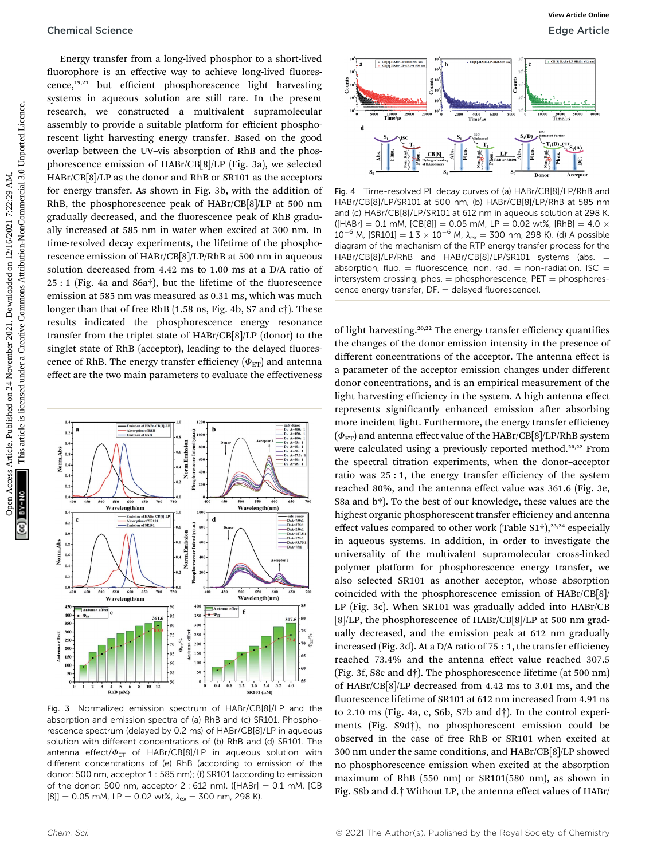Energy transfer from a long-lived phosphor to a short-lived fluorophore is an effective way to achieve long-lived fluorescence,19,21 but efficient phosphorescence light harvesting systems in aqueous solution are still rare. In the present research, we constructed a multivalent supramolecular assembly to provide a suitable platform for efficient phosphorescent light harvesting energy transfer. Based on the good overlap between the UV–vis absorption of RhB and the phosphorescence emission of HABr/CB[8]/LP (Fig. 3a), we selected HABr/CB[8]/LP as the donor and RhB or SR101 as the acceptors for energy transfer. As shown in Fig. 3b, with the addition of RhB, the phosphorescence peak of HABr/CB[8]/LP at 500 nm gradually decreased, and the fluorescence peak of RhB gradually increased at 585 nm in water when excited at 300 nm. In time-resolved decay experiments, the lifetime of the phosphorescence emission of HABr/CB[8]/LP/RhB at 500 nm in aqueous solution decreased from 4.42 ms to 1.00 ms at a D/A ratio of 25 : 1 (Fig. 4a and S6a†), but the lifetime of the fluorescence emission at 585 nm was measured as 0.31 ms, which was much longer than that of free RhB (1.58 ns, Fig. 4b, S7 and c†). These results indicated the phosphorescence energy resonance transfer from the triplet state of HABr/CB[8]/LP (donor) to the singlet state of RhB (acceptor), leading to the delayed fluorescence of RhB. The energy transfer efficiency ( $\Phi_{ET}$ ) and antenna effect are the two main parameters to evaluate the effectiveness Chemical Science<br>
Monographies As a distribution of a substitute of the published on the common beat articles. We<br>common by a material common and the published on the published on the<br>
second by consider a matching energy



Fig. 3 Normalized emission spectrum of HABr/CB[8]/LP and the absorption and emission spectra of (a) RhB and (c) SR101. Phosphorescence spectrum (delayed by 0.2 ms) of HABr/CB[8]/LP in aqueous solution with different concentrations of (b) RhB and (d) SR101. The antenna effect/ $\Phi_{FT}$  of HABr/CB[8]/LP in aqueous solution with different concentrations of (e) RhB (according to emission of the donor: 500 nm, acceptor 1 : 585 nm); (f) SR101 (according to emission of the donor: 500 nm, acceptor  $2:612$  nm). ([HABr] = 0.1 mM, [CB [8]]  $= 0.05$  mM, LP  $= 0.02$  wt%,  $\lambda_{\rm ex} = 300$  nm, 298 K).



Fig. 4 Time-resolved PL decay curves of (a) HABr/CB[8]/LP/RhB and HABr/CB[8]/LP/SR101 at 500 nm, (b) HABr/CB[8]/LP/RhB at 585 nm and (c) HABr/CB[8]/LP/SR101 at 612 nm in aqueous solution at 298 K.  $(HABr] = 0.1$  mM,  $[CB[8]] = 0.05$  mM,  $LP = 0.02$  wt%,  $[RhB] = 4.0 \times 10^{-6}$  $10^{-6}$  M, [SR101] =  $1.3 \times 10^{-6}$  M,  $\lambda_{\text{ex}} = 300$  nm, 298 K). (d) A possible diagram of the mechanism of the RTP energy transfer process for the HABr/CB[8]/LP/RhB and HABr/CB[8]/LP/SR101 systems (abs. = absorption, fluo.  $=$  fluorescence, non. rad.  $=$  non-radiation, ISC  $=$  $intersystem crossing, phos. = phosphorescence, PET = phosphores$ cence energy transfer,  $DF =$  delayed fluorescence).

of light harvesting.<sup>20,22</sup> The energy transfer efficiency quantifies the changes of the donor emission intensity in the presence of different concentrations of the acceptor. The antenna effect is a parameter of the acceptor emission changes under different donor concentrations, and is an empirical measurement of the light harvesting efficiency in the system. A high antenna effect represents significantly enhanced emission after absorbing more incident light. Furthermore, the energy transfer efficiency  $(\Phi_{\text{ET}})$  and antenna effect value of the HABr/CB[8]/LP/RhB system were calculated using a previously reported method.<sup>20,22</sup> From the spectral titration experiments, when the donor–acceptor ratio was 25 : 1, the energy transfer efficiency of the system reached 80%, and the antenna effect value was 361.6 (Fig. 3e, S8a and b†). To the best of our knowledge, these values are the highest organic phosphorescent transfer efficiency and antenna effect values compared to other work (Table S1 $\dagger$ ),<sup>23,24</sup> especially in aqueous systems. In addition, in order to investigate the universality of the multivalent supramolecular cross-linked polymer platform for phosphorescence energy transfer, we also selected SR101 as another acceptor, whose absorption coincided with the phosphorescence emission of HABr/CB[8]/ LP (Fig. 3c). When SR101 was gradually added into HABr/CB [8]/LP, the phosphorescence of HABr/CB[8]/LP at 500 nm gradually decreased, and the emission peak at 612 nm gradually increased (Fig. 3d). At a D/A ratio of 75 : 1, the transfer efficiency reached 73.4% and the antenna effect value reached 307.5 (Fig. 3f, S8c and d†). The phosphorescence lifetime (at 500 nm) of HABr/CB[8]/LP decreased from 4.42 ms to 3.01 ms, and the uorescence lifetime of SR101 at 612 nm increased from 4.91 ns to 2.10 ms (Fig. 4a, c, S6b, S7b and d†). In the control experiments (Fig. S9d†), no phosphorescent emission could be observed in the case of free RhB or SR101 when excited at 300 nm under the same conditions, and HABr/CB[8]/LP showed no phosphorescence emission when excited at the absorption maximum of RhB (550 nm) or SR101(580 nm), as shown in Fig. S8b and d.† Without LP, the antenna effect values of HABr/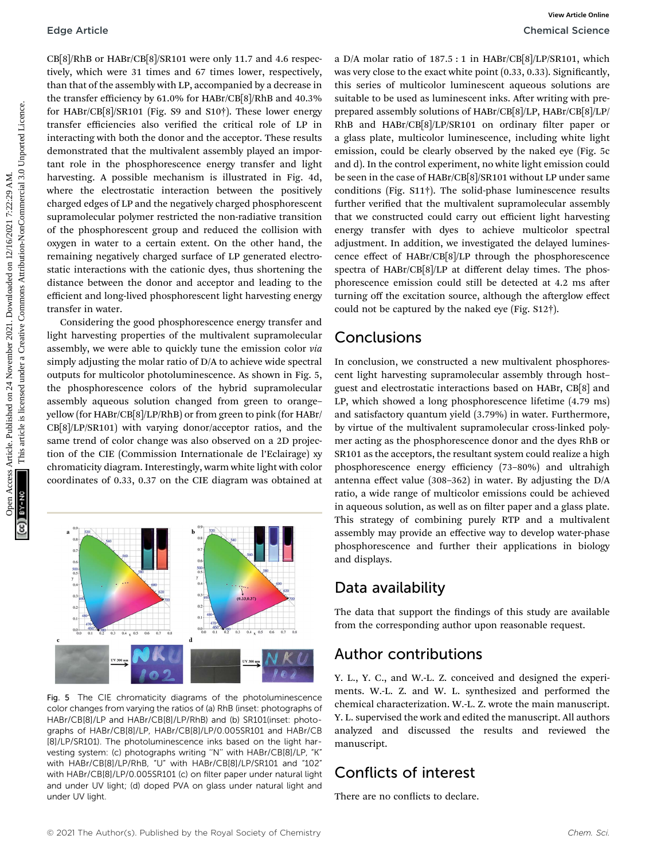CB[8]/RhB or HABr/CB[8]/SR101 were only 11.7 and 4.6 respectively, which were 31 times and 67 times lower, respectively, than that of the assembly with LP, accompanied by a decrease in the transfer efficiency by 61.0% for HABr/CB[8]/RhB and 40.3% for HABr/CB[8]/SR101 (Fig. S9 and S10†). These lower energy transfer efficiencies also verified the critical role of LP in interacting with both the donor and the acceptor. These results demonstrated that the multivalent assembly played an important role in the phosphorescence energy transfer and light harvesting. A possible mechanism is illustrated in Fig. 4d, where the electrostatic interaction between the positively charged edges of LP and the negatively charged phosphorescent supramolecular polymer restricted the non-radiative transition of the phosphorescent group and reduced the collision with oxygen in water to a certain extent. On the other hand, the remaining negatively charged surface of LP generated electrostatic interactions with the cationic dyes, thus shortening the distance between the donor and acceptor and leading to the efficient and long-lived phosphorescent light harvesting energy transfer in water. Edge Article<br>
Chemical Science<br>
Chemical Science<br>
Uniquote article is simulated the common action of the simulated on the simulated published unit of the simulated on the simulated on the simulated on the simulated unit of

Considering the good phosphorescence energy transfer and light harvesting properties of the multivalent supramolecular assembly, we were able to quickly tune the emission color via simply adjusting the molar ratio of D/A to achieve wide spectral outputs for multicolor photoluminescence. As shown in Fig. 5, the phosphorescence colors of the hybrid supramolecular assembly aqueous solution changed from green to orange– yellow (for HABr/CB[8]/LP/RhB) or from green to pink (for HABr/ CB[8]/LP/SR101) with varying donor/acceptor ratios, and the same trend of color change was also observed on a 2D projection of the CIE (Commission Internationale de l'Eclairage) xy chromaticity diagram. Interestingly, warm white light with color coordinates of 0.33, 0.37 on the CIE diagram was obtained at



Fig. 5 The CIE chromaticity diagrams of the photoluminescence color changes from varying the ratios of (a) RhB (inset: photographs of HABr/CB[8]/LP and HABr/CB[8]/LP/RhB) and (b) SR101(inset: photographs of HABr/CB[8]/LP, HABr/CB[8]/LP/0.005SR101 and HABr/CB [8]/LP/SR101). The photoluminescence inks based on the light harvesting system: (c) photographs writing ''N'' with HABr/CB[8]/LP, "K" with HABr/CB[8]/LP/RhB, "U" with HABr/CB[8]/LP/SR101 and "102" with HABr/CB[8]/LP/0.005SR101 (c) on filter paper under natural light and under UV light; (d) doped PVA on glass under natural light and under UV light.

a D/A molar ratio of 187.5 : 1 in HABr/CB[8]/LP/SR101, which was very close to the exact white point (0.33, 0.33). Significantly, this series of multicolor luminescent aqueous solutions are suitable to be used as luminescent inks. After writing with preprepared assembly solutions of HABr/CB[8]/LP, HABr/CB[8]/LP/ RhB and HABr/CB[8]/LP/SR101 on ordinary filter paper or a glass plate, multicolor luminescence, including white light emission, could be clearly observed by the naked eye (Fig. 5c and d). In the control experiment, no white light emission could be seen in the case of HABr/CB[8]/SR101 without LP under same conditions (Fig. S11†). The solid-phase luminescence results further verified that the multivalent supramolecular assembly that we constructed could carry out efficient light harvesting energy transfer with dyes to achieve multicolor spectral adjustment. In addition, we investigated the delayed luminescence effect of HABr/CB[8]/LP through the phosphorescence spectra of HABr/CB[8]/LP at different delay times. The phosphorescence emission could still be detected at 4.2 ms after turning off the excitation source, although the afterglow effect could not be captured by the naked eye (Fig. S12†).

### Conclusions

In conclusion, we constructed a new multivalent phosphorescent light harvesting supramolecular assembly through host– guest and electrostatic interactions based on HABr, CB[8] and LP, which showed a long phosphorescence lifetime (4.79 ms) and satisfactory quantum yield (3.79%) in water. Furthermore, by virtue of the multivalent supramolecular cross-linked polymer acting as the phosphorescence donor and the dyes RhB or SR101 as the acceptors, the resultant system could realize a high phosphorescence energy efficiency (73–80%) and ultrahigh antenna effect value (308–362) in water. By adjusting the D/A ratio, a wide range of multicolor emissions could be achieved in aqueous solution, as well as on filter paper and a glass plate. This strategy of combining purely RTP and a multivalent assembly may provide an effective way to develop water-phase phosphorescence and further their applications in biology and displays.

### Data availability

The data that support the findings of this study are available from the corresponding author upon reasonable request.

### Author contributions

Y. L., Y. C., and W.-L. Z. conceived and designed the experiments. W.-L. Z. and W. L. synthesized and performed the chemical characterization. W.-L. Z. wrote the main manuscript. Y. L. supervised the work and edited the manuscript. All authors analyzed and discussed the results and reviewed the manuscript.

### Conflicts of interest

There are no conflicts to declare.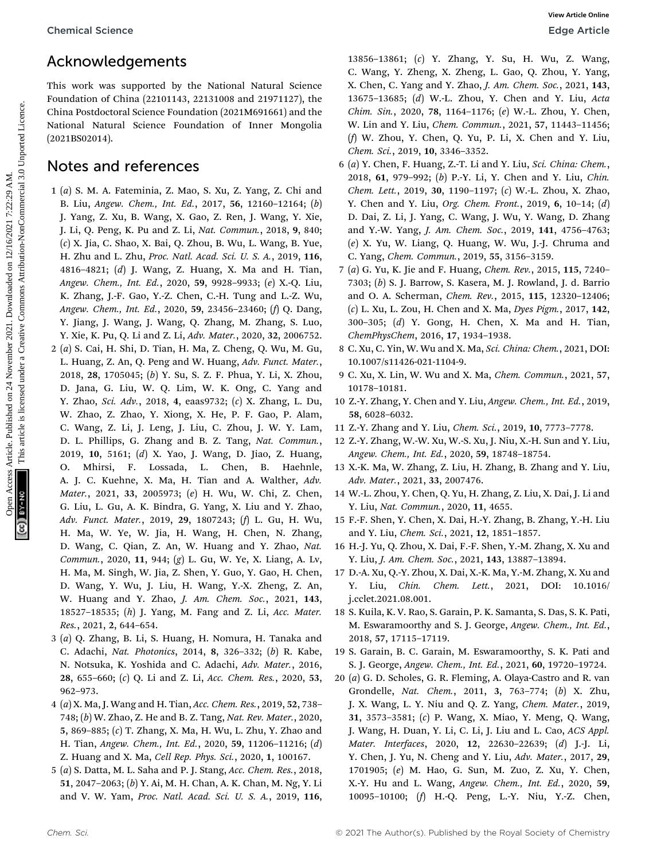### Acknowledgements

This work was supported by the National Natural Science Foundation of China (22101143, 22131008 and 21971127), the China Postdoctoral Science Foundation (2021M691661) and the National Natural Science Foundation of Inner Mongolia (2021BS02014).

### Notes and references

1 (a) S. M. A. Fateminia, Z. Mao, S. Xu, Z. Yang, Z. Chi and B. Liu, Angew. Chem., Int. Ed., 2017, 56, 12160–12164; (b) J. Yang, Z. Xu, B. Wang, X. Gao, Z. Ren, J. Wang, Y. Xie, J. Li, Q. Peng, K. Pu and Z. Li, Nat. Commun., 2018, 9, 840; (c) X. Jia, C. Shao, X. Bai, Q. Zhou, B. Wu, L. Wang, B. Yue, H. Zhu and L. Zhu, Proc. Natl. Acad. Sci. U. S. A., 2019, 116, 4816–4821; (d) J. Wang, Z. Huang, X. Ma and H. Tian, Angew. Chem., Int. Ed., 2020, 59, 9928–9933; (e) X.-Q. Liu, K. Zhang, J.-F. Gao, Y.-Z. Chen, C.-H. Tung and L.-Z. Wu, Angew. Chem., Int. Ed., 2020, 59, 23456–23460; (f) Q. Dang, Y. Jiang, J. Wang, J. Wang, Q. Zhang, M. Zhang, S. Luo, Y. Xie, K. Pu, Q. Li and Z. Li, Adv. Mater., 2020, 32, 2006752. 2 (a) S. Cai, H. Shi, D. Tian, H. Ma, Z. Cheng, Q. Wu, M. Gu, L. Huang, Z. An, Q. Peng and W. Huang, Adv. Funct. Mater., 2018, 28, 1705045; (b) Y. Su, S. Z. F. Phua, Y. Li, X. Zhou, D. Jana, G. Liu, W. Q. Lim, W. K. Ong, C. Yang and Y. Zhao, Sci. Adv., 2018, 4, eaas9732; (c) X. Zhang, L. Du, W. Zhao, Z. Zhao, Y. Xiong, X. He, P. F. Gao, P. Alam, C. Wang, Z. Li, J. Leng, J. Liu, C. Zhou, J. W. Y. Lam, D. L. Phillips, G. Zhang and B. Z. Tang, Nat. Commun., 2019, 10, 5161; (d) X. Yao, J. Wang, D. Jiao, Z. Huang, O. Mhirsi, F. Lossada, L. Chen, B. Haehnle, A. J. C. Kuehne, X. Ma, H. Tian and A. Walther, Adv. Mater., 2021, 33, 2005973; (e) H. Wu, W. Chi, Z. Chen, G. Liu, L. Gu, A. K. Bindra, G. Yang, X. Liu and Y. Zhao, Adv. Funct. Mater., 2019, 29, 1807243; (f) L. Gu, H. Wu, H. Ma, W. Ye, W. Jia, H. Wang, H. Chen, N. Zhang, D. Wang, C. Qian, Z. An, W. Huang and Y. Zhao, Nat. Commun., 2020, 11, 944; (g) L. Gu, W. Ye, X. Liang, A. Lv, H. Ma, M. Singh, W. Jia, Z. Shen, Y. Guo, Y. Gao, H. Chen, D. Wang, Y. Wu, J. Liu, H. Wang, Y.-X. Zheng, Z. An, W. Huang and Y. Zhao, J. Am. Chem. Soc., 2021, 143, 18527–18535; (h) J. Yang, M. Fang and Z. Li, Acc. Mater. Res., 2021, 2, 644–654. Chemical Science<br> **Acknowledgements**<br>
This waster and the same and states are the same and the same and the same and the same and the same of the same and the same and the same and the same and the same and the same and t

- 3 (a) Q. Zhang, B. Li, S. Huang, H. Nomura, H. Tanaka and C. Adachi, Nat. Photonics, 2014, 8, 326–332; (b) R. Kabe, N. Notsuka, K. Yoshida and C. Adachi, Adv. Mater., 2016, 28, 655–660; (c) Q. Li and Z. Li, Acc. Chem. Res., 2020, 53, 962–973.
- 4 (a) X. Ma, J. Wang and H. Tian, Acc. Chem. Res., 2019, 52, 738– 748; (b) W. Zhao, Z. He and B. Z. Tang, Nat. Rev. Mater., 2020, 5, 869–885; (c) T. Zhang, X. Ma, H. Wu, L. Zhu, Y. Zhao and H. Tian, Angew. Chem., Int. Ed., 2020, 59, 11206–11216; (d) Z. Huang and X. Ma, Cell Rep. Phys. Sci., 2020, 1, 100167.
- 5 (a) S. Datta, M. L. Saha and P. J. Stang, Acc. Chem. Res., 2018, 51, 2047–2063; (b) Y. Ai, M. H. Chan, A. K. Chan, M. Ng, Y. Li and V. W. Yam, Proc. Natl. Acad. Sci. U. S. A., 2019, 116,

13856–13861; (c) Y. Zhang, Y. Su, H. Wu, Z. Wang, C. Wang, Y. Zheng, X. Zheng, L. Gao, Q. Zhou, Y. Yang, X. Chen, C. Yang and Y. Zhao, J. Am. Chem. Soc., 2021, 143, 13675–13685; (d) W.-L. Zhou, Y. Chen and Y. Liu, Acta Chim. Sin., 2020, 78, 1164–1176; (e) W.-L. Zhou, Y. Chen, W. Lin and Y. Liu, Chem. Commun., 2021, 57, 11443–11456; (f) W. Zhou, Y. Chen, Q. Yu, P. Li, X. Chen and Y. Liu, Chem. Sci., 2019, 10, 3346–3352.

- 6 (a) Y. Chen, F. Huang, Z.-T. Li and Y. Liu, Sci. China: Chem., 2018, 61, 979–992; (b) P.-Y. Li, Y. Chen and Y. Liu, Chin. Chem. Lett., 2019, 30, 1190–1197; (c) W.-L. Zhou, X. Zhao, Y. Chen and Y. Liu, Org. Chem. Front., 2019, 6, 10–14; (d) D. Dai, Z. Li, J. Yang, C. Wang, J. Wu, Y. Wang, D. Zhang and Y.-W. Yang, J. Am. Chem. Soc., 2019, 141, 4756-4763; (e) X. Yu, W. Liang, Q. Huang, W. Wu, J.-J. Chruma and C. Yang, Chem. Commun., 2019, 55, 3156–3159.
- 7 (a) G. Yu, K. Jie and F. Huang, Chem. Rev., 2015, 115, 7240– 7303; (b) S. J. Barrow, S. Kasera, M. J. Rowland, J. d. Barrio and O. A. Scherman, Chem. Rev., 2015, 115, 12320–12406; (c) L. Xu, L. Zou, H. Chen and X. Ma, Dyes Pigm., 2017, 142, 300–305; (d) Y. Gong, H. Chen, X. Ma and H. Tian, ChemPhysChem, 2016, 17, 1934–1938.
- 8 C. Xu, C. Yin, W. Wu and X. Ma, Sci. China: Chem., 2021, DOI: 10.1007/s11426-021-1104-9.
- 9 C. Xu, X. Lin, W. Wu and X. Ma, Chem. Commun., 2021, 57, 10178–10181.
- 10 Z.-Y. Zhang, Y. Chen and Y. Liu, Angew. Chem., Int. Ed., 2019, 58, 6028–6032.
- 11 Z.-Y. Zhang and Y. Liu, Chem. Sci., 2019, 10, 7773–7778.
- 12 Z.-Y. Zhang, W.-W. Xu, W.-S. Xu, J. Niu, X.-H. Sun and Y. Liu, Angew. Chem., Int. Ed., 2020, 59, 18748–18754.
- 13 X.-K. Ma, W. Zhang, Z. Liu, H. Zhang, B. Zhang and Y. Liu, Adv. Mater., 2021, 33, 2007476.
- 14 W.-L. Zhou, Y. Chen, Q. Yu, H. Zhang, Z. Liu, X. Dai, J. Li and Y. Liu, Nat. Commun., 2020, 11, 4655.
- 15 F.-F. Shen, Y. Chen, X. Dai, H.-Y. Zhang, B. Zhang, Y.-H. Liu and Y. Liu, Chem. Sci., 2021, 12, 1851–1857.
- 16 H.-J. Yu, Q. Zhou, X. Dai, F.-F. Shen, Y.-M. Zhang, X. Xu and Y. Liu, J. Am. Chem. Soc., 2021, 143, 13887–13894.
- 17 D.-A. Xu, Q.-Y. Zhou, X. Dai, X.-K. Ma, Y.-M. Zhang, X. Xu and Y. Liu, Chin. Chem. Lett., 2021, DOI: 10.1016/ j.cclet.2021.08.001.
- 18 S. Kuila, K. V. Rao, S. Garain, P. K. Samanta, S. Das, S. K. Pati, M. Eswaramoorthy and S. J. George, Angew. Chem., Int. Ed., 2018, 57, 17115–17119.
- 19 S. Garain, B. C. Garain, M. Eswaramoorthy, S. K. Pati and S. J. George, Angew. Chem., Int. Ed., 2021, 60, 19720–19724.
- 20 (a) G. D. Scholes, G. R. Fleming, A. Olaya-Castro and R. van Grondelle, Nat. Chem., 2011, 3, 763–774; (b) X. Zhu, J. X. Wang, L. Y. Niu and Q. Z. Yang, Chem. Mater., 2019, 31, 3573–3581; (c) P. Wang, X. Miao, Y. Meng, Q. Wang, J. Wang, H. Duan, Y. Li, C. Li, J. Liu and L. Cao, ACS Appl. Mater. Interfaces, 2020, 12, 22630–22639; (d) J.-J. Li, Y. Chen, J. Yu, N. Cheng and Y. Liu, Adv. Mater., 2017, 29, 1701905; (e) M. Hao, G. Sun, M. Zuo, Z. Xu, Y. Chen, X.-Y. Hu and L. Wang, Angew. Chem., Int. Ed., 2020, 59, 10095–10100; (f) H.-Q. Peng, L.-Y. Niu, Y.-Z. Chen,